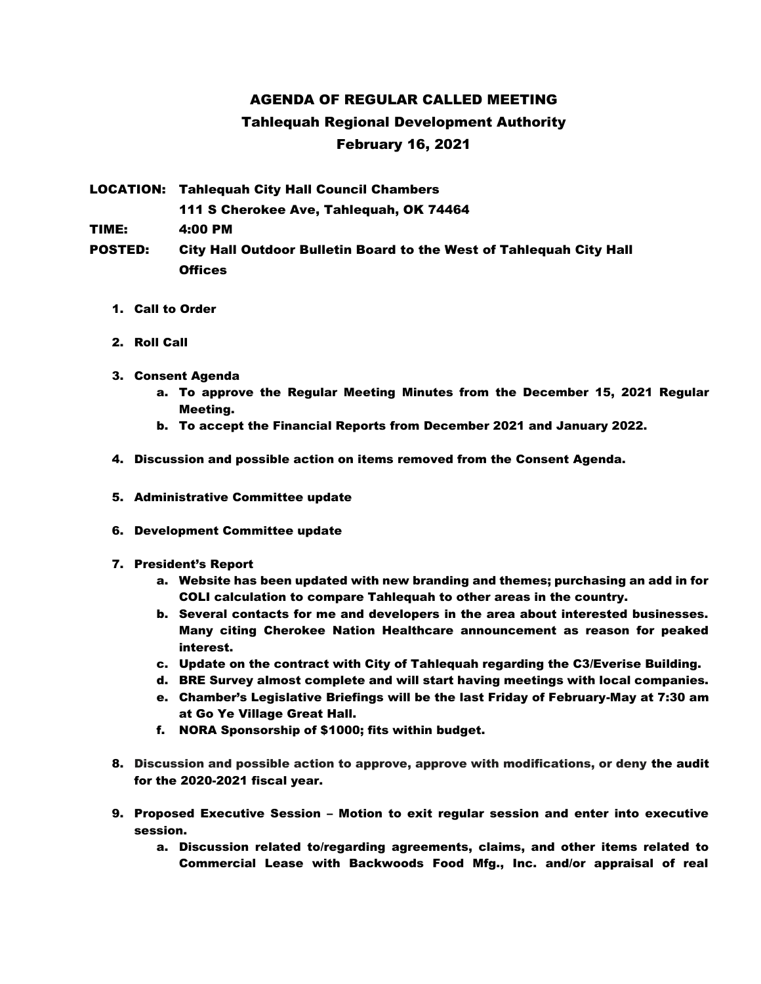## AGENDA OF REGULAR CALLED MEETING Tahlequah Regional Development Authority February 16, 2021

LOCATION: Tahlequah City Hall Council Chambers 111 S Cherokee Ave, Tahlequah, OK 74464 TIME: 4:00 PM POSTED: City Hall Outdoor Bulletin Board to the West of Tahlequah City Hall

1. Call to Order

**Offices** 

- 2. Roll Call
- 3. Consent Agenda
	- a. To approve the Regular Meeting Minutes from the December 15, 2021 Regular Meeting.
	- b. To accept the Financial Reports from December 2021 and January 2022.
- 4. Discussion and possible action on items removed from the Consent Agenda.
- 5. Administrative Committee update
- 6. Development Committee update
- 7. President's Report
	- a. Website has been updated with new branding and themes; purchasing an add in for COLI calculation to compare Tahlequah to other areas in the country.
	- b. Several contacts for me and developers in the area about interested businesses. Many citing Cherokee Nation Healthcare announcement as reason for peaked interest.
	- c. Update on the contract with City of Tahlequah regarding the C3/Everise Building.
	- d. BRE Survey almost complete and will start having meetings with local companies.
	- e. Chamber's Legislative Briefings will be the last Friday of February-May at 7:30 am at Go Ye Village Great Hall.
	- f. NORA Sponsorship of \$1000; fits within budget.
- 8. Discussion and possible action to approve, approve with modifications, or deny the audit for the 2020-2021 fiscal year.
- 9. Proposed Executive Session Motion to exit regular session and enter into executive session.
	- a. Discussion related to/regarding agreements, claims, and other items related to Commercial Lease with Backwoods Food Mfg., Inc. and/or appraisal of real